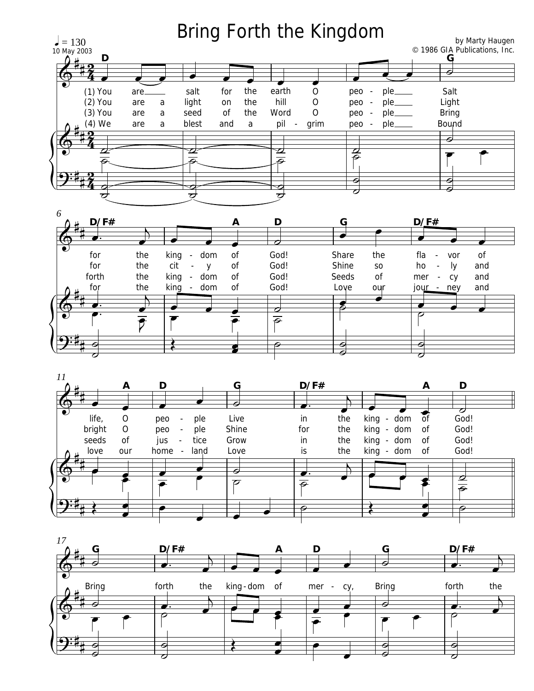